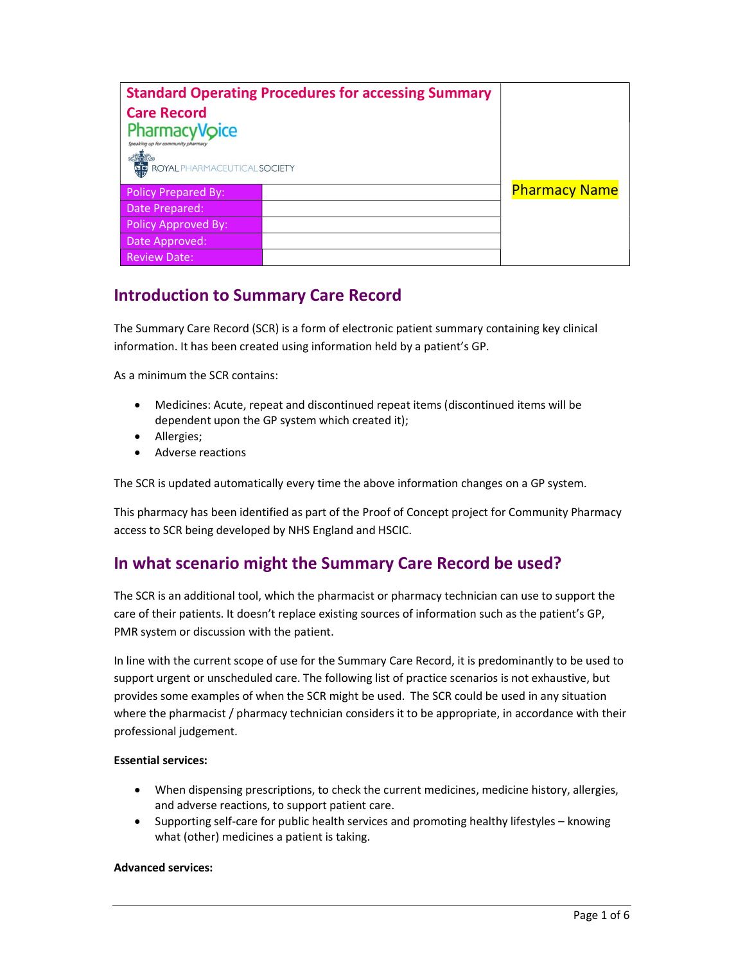| <b>Standard Operating Procedures for accessing Summary</b><br><b>Care Record</b><br><b>PharmacyVoice</b><br>Speaking up for community pharmacy<br><b>ASSES</b><br>THE ROYAL PHARMACEUTICAL <b>SOCIETY</b> |  |                      |
|-----------------------------------------------------------------------------------------------------------------------------------------------------------------------------------------------------------|--|----------------------|
| <b>Policy Prepared By:</b>                                                                                                                                                                                |  | <b>Pharmacy Name</b> |
| Date Prepared:                                                                                                                                                                                            |  |                      |
| Policy Approved By:                                                                                                                                                                                       |  |                      |
| Date Approved:                                                                                                                                                                                            |  |                      |
| <b>Review Date:</b>                                                                                                                                                                                       |  |                      |

## Introduction to Summary Care Record

The Summary Care Record (SCR) is a form of electronic patient summary containing key clinical information. It has been created using information held by a patient's GP.

As a minimum the SCR contains:

- Medicines: Acute, repeat and discontinued repeat items (discontinued items will be dependent upon the GP system which created it);
- Allergies;
- Adverse reactions

The SCR is updated automatically every time the above information changes on a GP system.

This pharmacy has been identified as part of the Proof of Concept project for Community Pharmacy access to SCR being developed by NHS England and HSCIC.

## In what scenario might the Summary Care Record be used?

The SCR is an additional tool, which the pharmacist or pharmacy technician can use to support the care of their patients. It doesn't replace existing sources of information such as the patient's GP, PMR system or discussion with the patient.

In line with the current scope of use for the Summary Care Record, it is predominantly to be used to support urgent or unscheduled care. The following list of practice scenarios is not exhaustive, but provides some examples of when the SCR might be used. The SCR could be used in any situation where the pharmacist / pharmacy technician considers it to be appropriate, in accordance with their professional judgement.

### Essential services:

- When dispensing prescriptions, to check the current medicines, medicine history, allergies, and adverse reactions, to support patient care.
- Supporting self-care for public health services and promoting healthy lifestyles knowing what (other) medicines a patient is taking.

#### Advanced services: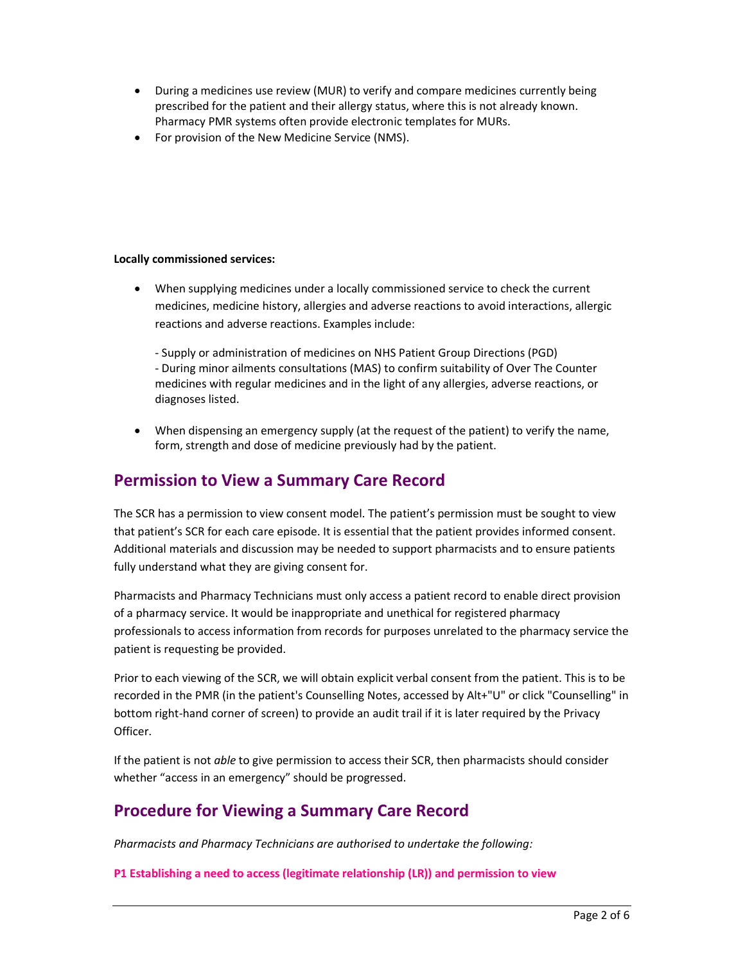- During a medicines use review (MUR) to verify and compare medicines currently being prescribed for the patient and their allergy status, where this is not already known. Pharmacy PMR systems often provide electronic templates for MURs.
- For provision of the New Medicine Service (NMS).

### Locally commissioned services:

 When supplying medicines under a locally commissioned service to check the current medicines, medicine history, allergies and adverse reactions to avoid interactions, allergic reactions and adverse reactions. Examples include:

- Supply or administration of medicines on NHS Patient Group Directions (PGD) - During minor ailments consultations (MAS) to confirm suitability of Over The Counter medicines with regular medicines and in the light of any allergies, adverse reactions, or diagnoses listed.

 When dispensing an emergency supply (at the request of the patient) to verify the name, form, strength and dose of medicine previously had by the patient.

## Permission to View a Summary Care Record

The SCR has a permission to view consent model. The patient's permission must be sought to view that patient's SCR for each care episode. It is essential that the patient provides informed consent. Additional materials and discussion may be needed to support pharmacists and to ensure patients fully understand what they are giving consent for.

Pharmacists and Pharmacy Technicians must only access a patient record to enable direct provision of a pharmacy service. It would be inappropriate and unethical for registered pharmacy professionals to access information from records for purposes unrelated to the pharmacy service the patient is requesting be provided.

Prior to each viewing of the SCR, we will obtain explicit verbal consent from the patient. This is to be recorded in the PMR (in the patient's Counselling Notes, accessed by Alt+"U" or click "Counselling" in bottom right-hand corner of screen) to provide an audit trail if it is later required by the Privacy Officer.

If the patient is not able to give permission to access their SCR, then pharmacists should consider whether "access in an emergency" should be progressed.

## Procedure for Viewing a Summary Care Record

Pharmacists and Pharmacy Technicians are authorised to undertake the following:

P1 Establishing a need to access (legitimate relationship (LR)) and permission to view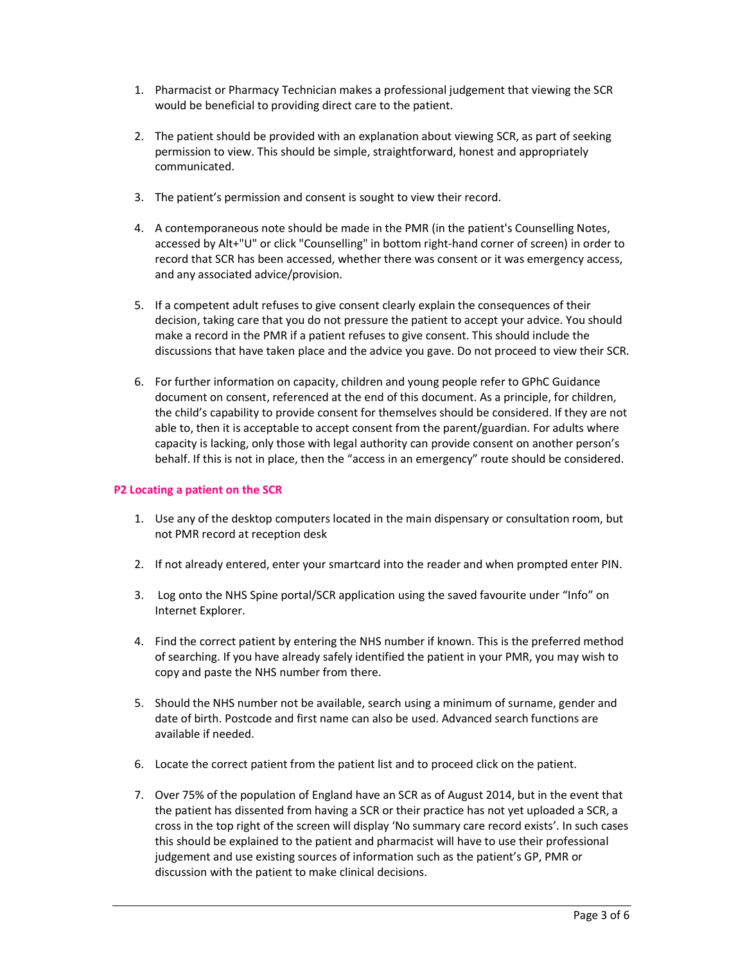- 1. Pharmacist or Pharmacy Technician makes a professional judgement that viewing the SCR would be beneficial to providing direct care to the patient.
- 2. The patient should be provided with an explanation about viewing SCR, as part of seeking permission to view. This should be simple, straightforward, honest and appropriately communicated.
- 3. The patient's permission and consent is sought to view their record.
- 4. A contemporaneous note should be made in the PMR (in the patient's Counselling Notes, accessed by Alt+"U" or click "Counselling" in bottom right-hand corner of screen) in order to record that SCR has been accessed, whether there was consent or it was emergency access, and any associated advice/provision.
- 5. If a competent adult refuses to give consent clearly explain the consequences of their decision, taking care that you do not pressure the patient to accept your advice. You should make a record in the PMR if a patient refuses to give consent. This should include the discussions that have taken place and the advice you gave. Do not proceed to view their SCR.
- 6. For further information on capacity, children and young people refer to GPhC Guidance document on consent, referenced at the end of this document. As a principle, for children, the child's capability to provide consent for themselves should be considered. If they are not able to, then it is acceptable to accept consent from the parent/guardian. For adults where capacity is lacking, only those with legal authority can provide consent on another person's behalf. If this is not in place, then the "access in an emergency" route should be considered.

#### P2 Locating a patient on the SCR

- 1. Use any of the desktop computers located in the main dispensary or consultation room, but not PMR record at reception desk
- 2. If not already entered, enter your smartcard into the reader and when prompted enter PIN.
- 3. Log onto the NHS Spine portal/SCR application using the saved favourite under "Info" on Internet Explorer.
- 4. Find the correct patient by entering the NHS number if known. This is the preferred method of searching. If you have already safely identified the patient in your PMR, you may wish to copy and paste the NHS number from there.
- 5. Should the NHS number not be available, search using a minimum of surname, gender and date of birth. Postcode and first name can also be used. Advanced search functions are available if needed.
- 6. Locate the correct patient from the patient list and to proceed click on the patient.
- 7. Over 75% of the population of England have an SCR as of August 2014, but in the event that the patient has dissented from having a SCR or their practice has not yet uploaded a SCR, a cross in the top right of the screen will display 'No summary care record exists'. In such cases this should be explained to the patient and pharmacist will have to use their professional judgement and use existing sources of information such as the patient's GP, PMR or discussion with the patient to make clinical decisions.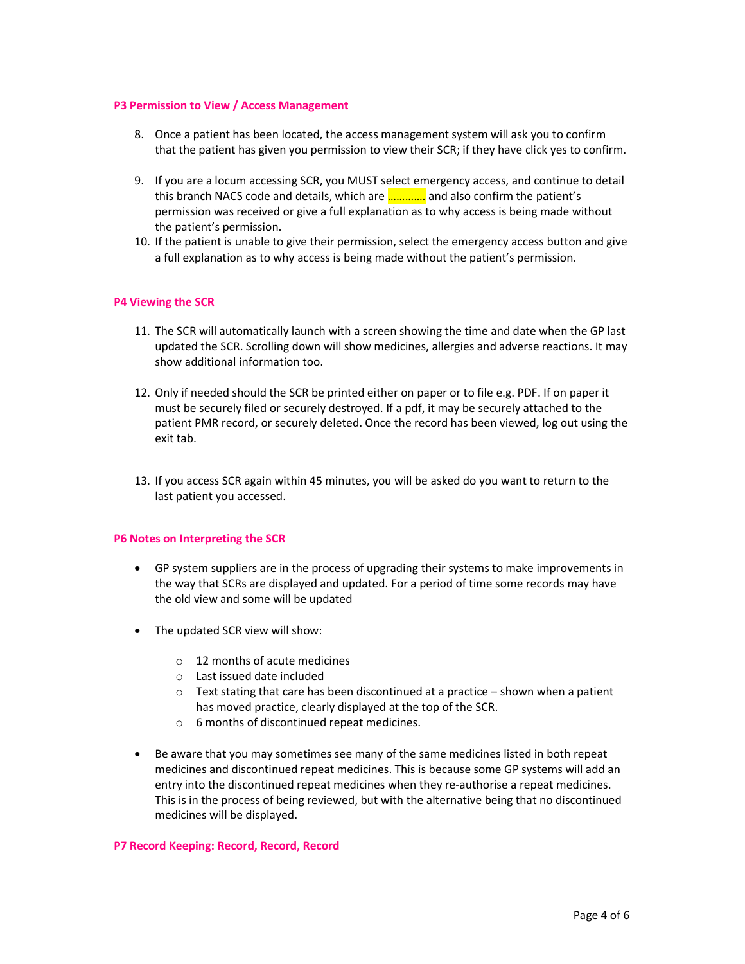#### P3 Permission to View / Access Management

- 8. Once a patient has been located, the access management system will ask you to confirm that the patient has given you permission to view their SCR; if they have click yes to confirm.
- 9. If you are a locum accessing SCR, you MUST select emergency access, and continue to detail this branch NACS code and details, which are …………. and also confirm the patient's permission was received or give a full explanation as to why access is being made without the patient's permission.
- 10. If the patient is unable to give their permission, select the emergency access button and give a full explanation as to why access is being made without the patient's permission.

### P4 Viewing the SCR

- 11. The SCR will automatically launch with a screen showing the time and date when the GP last updated the SCR. Scrolling down will show medicines, allergies and adverse reactions. It may show additional information too.
- 12. Only if needed should the SCR be printed either on paper or to file e.g. PDF. If on paper it must be securely filed or securely destroyed. If a pdf, it may be securely attached to the patient PMR record, or securely deleted. Once the record has been viewed, log out using the exit tab.
- 13. If you access SCR again within 45 minutes, you will be asked do you want to return to the last patient you accessed.

#### P6 Notes on Interpreting the SCR

- GP system suppliers are in the process of upgrading their systems to make improvements in the way that SCRs are displayed and updated. For a period of time some records may have the old view and some will be updated
- The updated SCR view will show:
	- $\circ$  12 months of acute medicines
	- o Last issued date included
	- $\circ$  Text stating that care has been discontinued at a practice shown when a patient has moved practice, clearly displayed at the top of the SCR.
	- o 6 months of discontinued repeat medicines.
- Be aware that you may sometimes see many of the same medicines listed in both repeat medicines and discontinued repeat medicines. This is because some GP systems will add an entry into the discontinued repeat medicines when they re-authorise a repeat medicines. This is in the process of being reviewed, but with the alternative being that no discontinued medicines will be displayed.

#### P7 Record Keeping: Record, Record, Record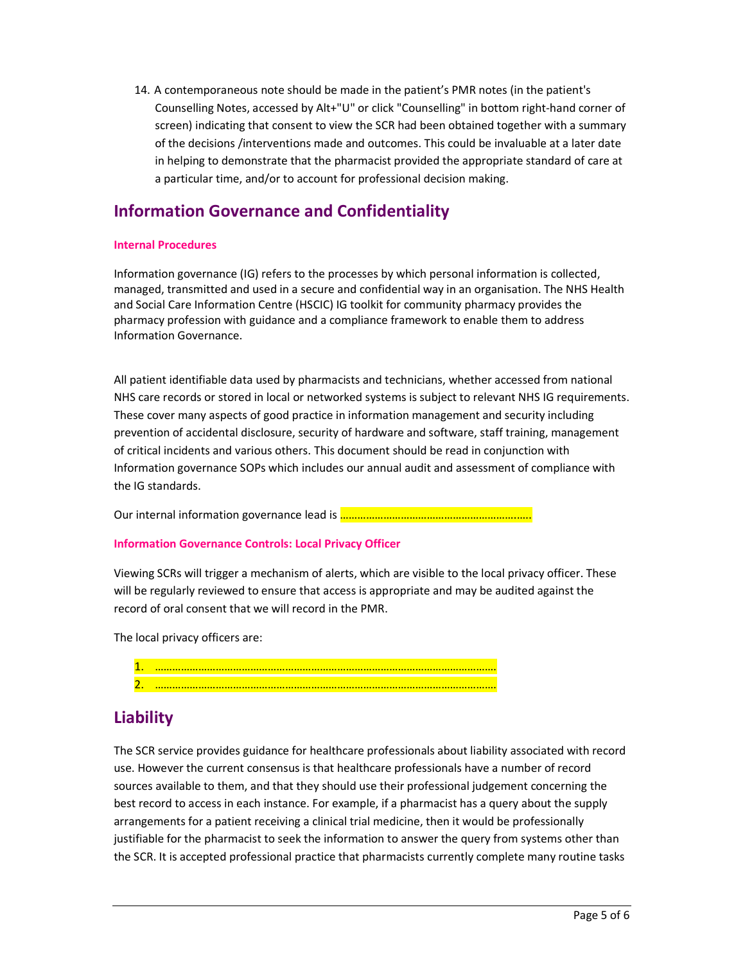14. A contemporaneous note should be made in the patient's PMR notes (in the patient's Counselling Notes, accessed by Alt+"U" or click "Counselling" in bottom right-hand corner of screen) indicating that consent to view the SCR had been obtained together with a summary of the decisions /interventions made and outcomes. This could be invaluable at a later date in helping to demonstrate that the pharmacist provided the appropriate standard of care at a particular time, and/or to account for professional decision making.

# Information Governance and Confidentiality

### Internal Procedures

Information governance (IG) refers to the processes by which personal information is collected, managed, transmitted and used in a secure and confidential way in an organisation. The NHS Health and Social Care Information Centre (HSCIC) IG toolkit for community pharmacy provides the pharmacy profession with guidance and a compliance framework to enable them to address Information Governance.

All patient identifiable data used by pharmacists and technicians, whether accessed from national NHS care records or stored in local or networked systems is subject to relevant NHS IG requirements. These cover many aspects of good practice in information management and security including prevention of accidental disclosure, security of hardware and software, staff training, management of critical incidents and various others. This document should be read in conjunction with Information governance SOPs which includes our annual audit and assessment of compliance with the IG standards.

Our internal information governance lead is **………………………………………………………** 

#### Information Governance Controls: Local Privacy Officer

Viewing SCRs will trigger a mechanism of alerts, which are visible to the local privacy officer. These will be regularly reviewed to ensure that access is appropriate and may be audited against the record of oral consent that we will record in the PMR.

The local privacy officers are:

| -- |  |
|----|--|
| -  |  |

## **Liability**

The SCR service provides guidance for healthcare professionals about liability associated with record use. However the current consensus is that healthcare professionals have a number of record sources available to them, and that they should use their professional judgement concerning the best record to access in each instance. For example, if a pharmacist has a query about the supply arrangements for a patient receiving a clinical trial medicine, then it would be professionally justifiable for the pharmacist to seek the information to answer the query from systems other than the SCR. It is accepted professional practice that pharmacists currently complete many routine tasks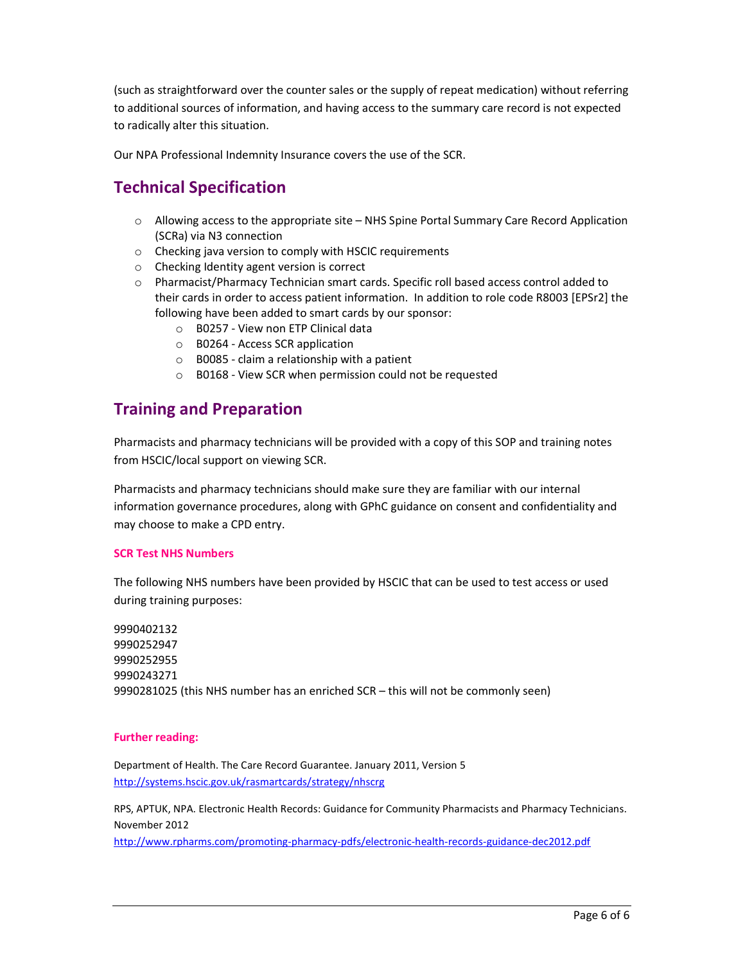(such as straightforward over the counter sales or the supply of repeat medication) without referring to additional sources of information, and having access to the summary care record is not expected to radically alter this situation.

Our NPA Professional Indemnity Insurance covers the use of the SCR.

# Technical Specification

- o Allowing access to the appropriate site NHS Spine Portal Summary Care Record Application (SCRa) via N3 connection
- o Checking java version to comply with HSCIC requirements
- o Checking Identity agent version is correct
- o Pharmacist/Pharmacy Technician smart cards. Specific roll based access control added to their cards in order to access patient information. In addition to role code R8003 [EPSr2] the following have been added to smart cards by our sponsor:
	- o B0257 View non ETP Clinical data
	- o B0264 Access SCR application
	- $\circ$  B0085 claim a relationship with a patient
	- o B0168 View SCR when permission could not be requested

## Training and Preparation

Pharmacists and pharmacy technicians will be provided with a copy of this SOP and training notes from HSCIC/local support on viewing SCR.

Pharmacists and pharmacy technicians should make sure they are familiar with our internal information governance procedures, along with GPhC guidance on consent and confidentiality and may choose to make a CPD entry.

#### SCR Test NHS Numbers

The following NHS numbers have been provided by HSCIC that can be used to test access or used during training purposes:

9990402132 9990252947 9990252955 9990243271 9990281025 (this NHS number has an enriched SCR – this will not be commonly seen)

#### Further reading:

Department of Health. The Care Record Guarantee. January 2011, Version 5 http://systems.hscic.gov.uk/rasmartcards/strategy/nhscrg

RPS, APTUK, NPA. Electronic Health Records: Guidance for Community Pharmacists and Pharmacy Technicians. November 2012

http://www.rpharms.com/promoting-pharmacy-pdfs/electronic-health-records-guidance-dec2012.pdf